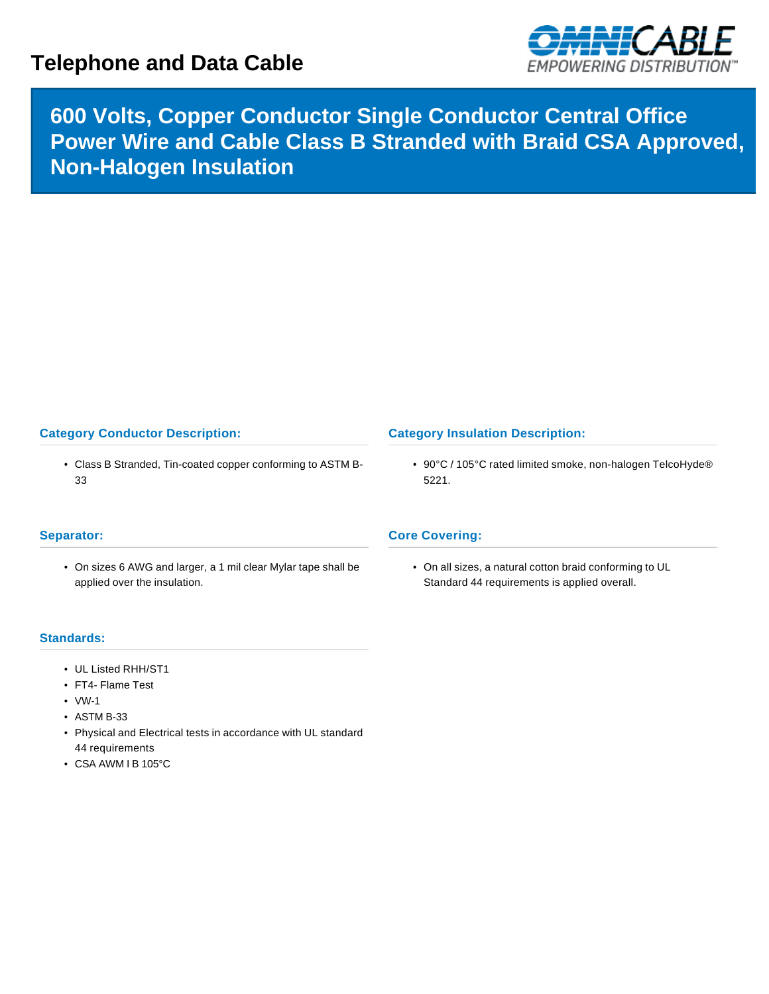# **Telephone and Data Cable**



# **600 Volts, Copper Conductor Single Conductor Central Office Power Wire and Cable Class B Stranded with Braid CSA Approved, Non-Halogen Insulation**

## **Category Conductor Description:**

• Class B Stranded, Tin-coated copper conforming to ASTM B-33

### **Category Insulation Description:**

• 90°C / 105°C rated limited smoke, non-halogen TelcoHyde® 5221.

### **Separator:**

• On sizes 6 AWG and larger, a 1 mil clear Mylar tape shall be applied over the insulation.

#### **Core Covering:**

• On all sizes, a natural cotton braid conforming to UL Standard 44 requirements is applied overall.

#### **Standards:**

- UL Listed RHH/ST1
- FT4- Flame Test
- VW-1
- ASTM B-33
- Physical and Electrical tests in accordance with UL standard 44 requirements
- CSA AWM I B 105°C